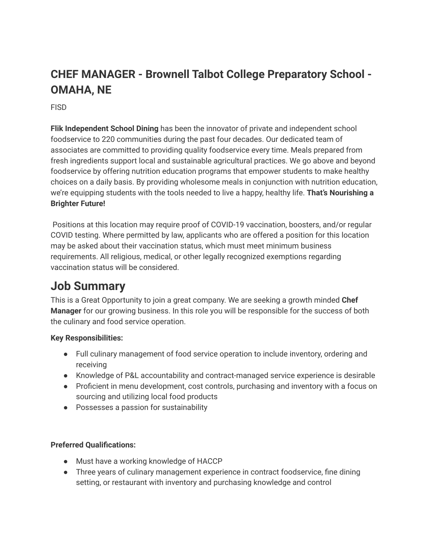# **CHEF MANAGER - Brownell Talbot College Preparatory School - OMAHA, NE**

FISD

**Flik Independent School Dining** has been the innovator of private and independent school foodservice to 220 communities during the past four decades. Our dedicated team of associates are committed to providing quality foodservice every time. Meals prepared from fresh ingredients support local and sustainable agricultural practices. We go above and beyond foodservice by offering nutrition education programs that empower students to make healthy choices on a daily basis. By providing wholesome meals in conjunction with nutrition education, we're equipping students with the tools needed to live a happy, healthy life. **That's Nourishing a Brighter Future!**

Positions at this location may require proof of COVID-19 vaccination, boosters, and/or regular COVID testing. Where permitted by law, applicants who are offered a position for this location may be asked about their vaccination status, which must meet minimum business requirements. All religious, medical, or other legally recognized exemptions regarding vaccination status will be considered.

# **Job Summary**

This is a Great Opportunity to join a great company. We are seeking a growth minded **Chef Manager** for our growing business. In this role you will be responsible for the success of both the culinary and food service operation.

### **Key Responsibilities:**

- Full culinary management of food service operation to include inventory, ordering and receiving
- Knowledge of P&L accountability and contract-managed service experience is desirable
- Proficient in menu development, cost controls, purchasing and inventory with a focus on sourcing and utilizing local food products
- Possesses a passion for sustainability

### **Preferred Qualifications:**

- Must have a working knowledge of HACCP
- Three years of culinary management experience in contract foodservice, fine dining setting, or restaurant with inventory and purchasing knowledge and control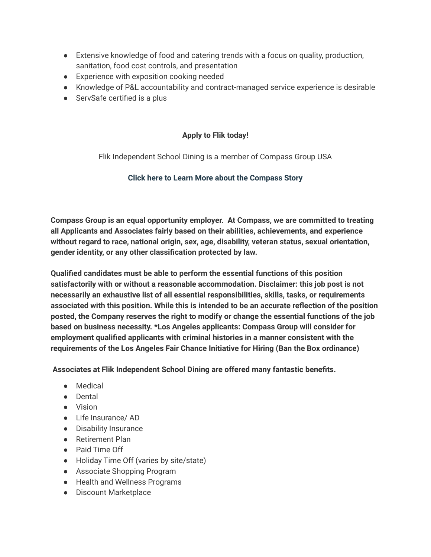- Extensive knowledge of food and catering trends with a focus on quality, production, sanitation, food cost controls, and presentation
- Experience with exposition cooking needed
- Knowledge of P&L accountability and contract-managed service experience is desirable
- ServSafe certified is a plus

#### **Apply to Flik today!**

Flik Independent School Dining is a member of Compass Group USA

#### **Click here to Learn More about the [Compass](http://www.compass-usa.com/our-story/) Story**

**Compass Group is an equal opportunity employer. At Compass, we are committed to treating all Applicants and Associates fairly based on their abilities, achievements, and experience without regard to race, national origin, sex, age, disability, veteran status, sexual orientation, gender identity, or any other classification protected by law.**

**Qualified candidates must be able to perform the essential functions of this position satisfactorily with or without a reasonable accommodation. Disclaimer: this job post is not necessarily an exhaustive list of all essential responsibilities, skills, tasks, or requirements associated with this position. While this is intended to be an accurate reflection of the position posted, the Company reserves the right to modify or change the essential functions of the job based on business necessity. \*Los Angeles applicants: Compass Group will consider for employment qualified applicants with criminal histories in a manner consistent with the requirements of the Los Angeles Fair Chance Initiative for Hiring (Ban the Box ordinance)**

**Associates at Flik Independent School Dining are offered many fantastic benefits.**

- Medical
- Dental
- Vision
- Life Insurance/ AD
- Disability Insurance
- Retirement Plan
- Paid Time Off
- Holiday Time Off (varies by site/state)
- Associate Shopping Program
- Health and Wellness Programs
- Discount Marketplace